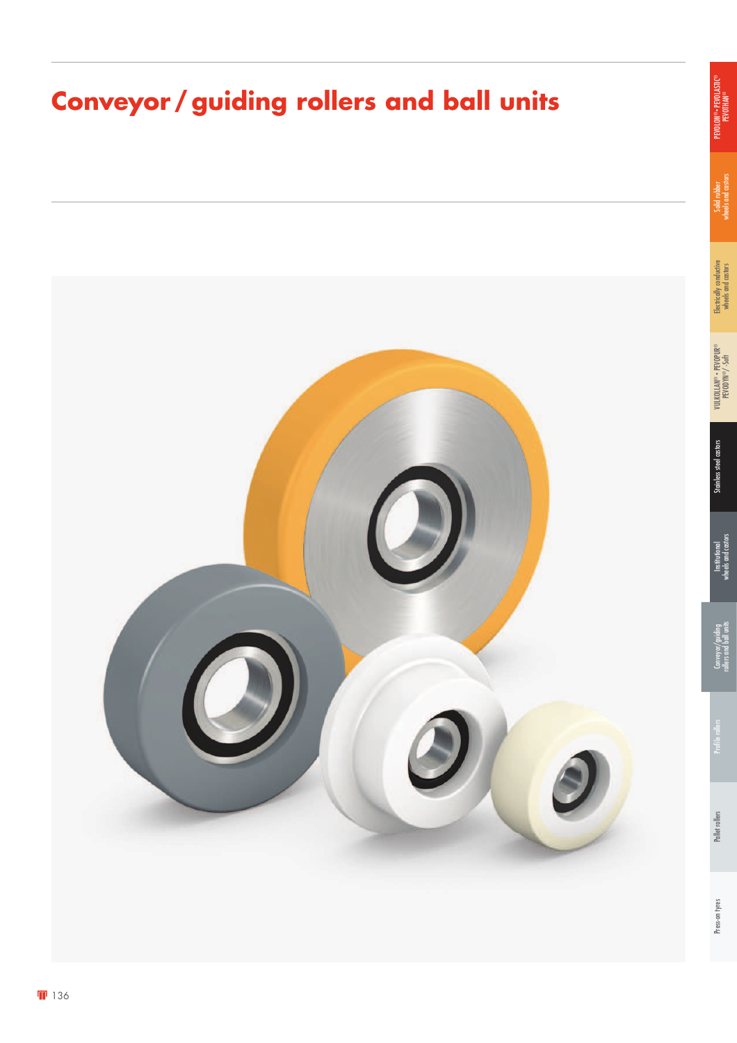# **Conveyor / guiding rollers and ball units**



Solid rubber<br>wheels and castors wheels and castors

Electrically conductive<br>wheels and castors Electrically conductive wheels and castors

> Stainless steel castors VULKOLLAN® • PEVOPUR ® PEVODYN ®/ -Soft

Stainless steel castors

**Institutional** wheels and castors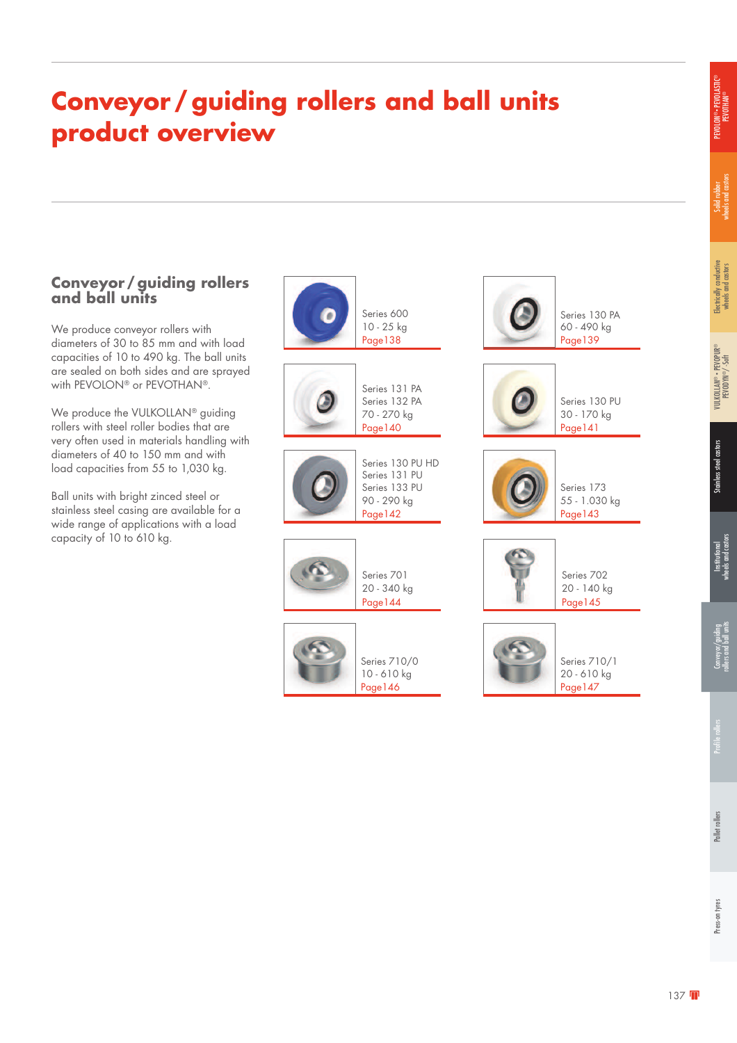# **Conveyor / guiding rollers and ball units product overview**

#### **Conveyor / guiding rollers and ball units**

We produce conveyor rollers with diameters of 30 to 85 mm and with load capacities of 10 to 490 kg. The ball units are sealed on both sides and are sprayed with PEVOLON® or PEVOTHAN®.

We produce the VULKOLLAN<sup>®</sup> guiding rollers with steel roller bodies that are very often used in materials handling with diameters of 40 to 150 mm and with load capacities from 55 to 1,030 kg.

Ball units with bright zinced steel or stainless steel casing are available for a wide range of applications with a load capacity of 10 to 610 kg.



Solid rubber<br>wheels and castors wheels and castors

PEVOLON® • PEVOLASTIC® .ON®• PEVOLASTIC<br>PEVOTHAN®

®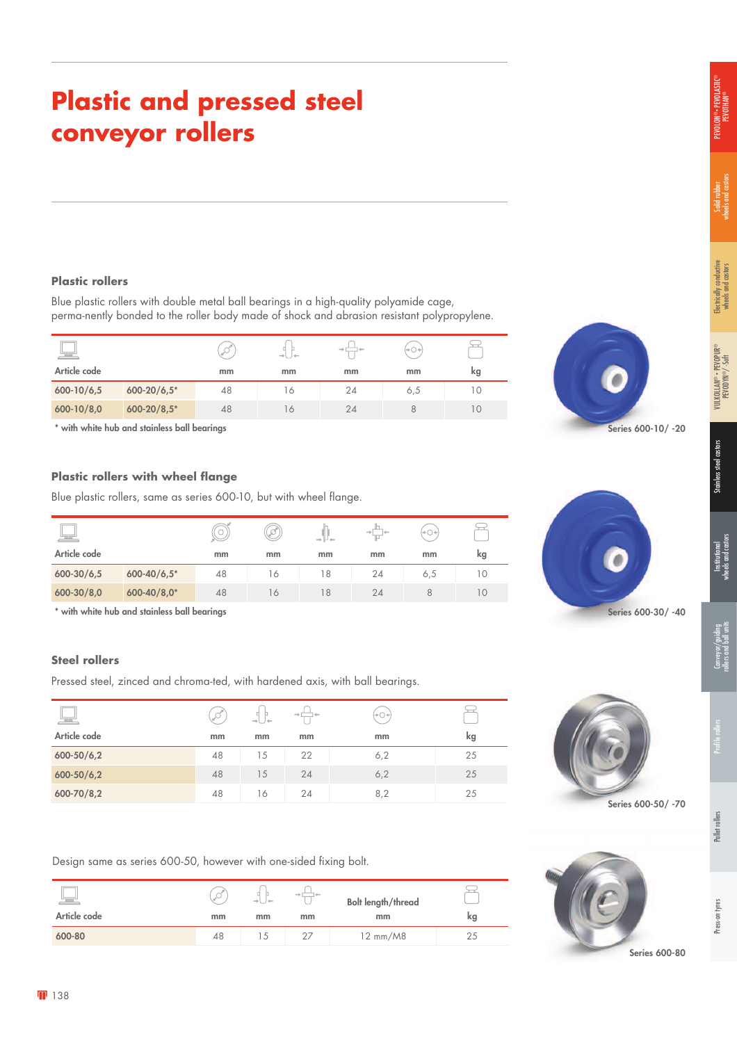# **Plastic and pressed steel conveyor rollers**

#### **Plastic rollers**

Blue plastic rollers with double metal ball bearings in a high-quality polyamide cage, perma-nently bonded to the roller body made of shock and abrasion resistant polypropylene.

| 특               |                 |    | $\rightarrow$ $\rightarrow$ | and- |     |    |
|-----------------|-----------------|----|-----------------------------|------|-----|----|
| Article code    |                 | mm | mm                          | mm   | mm  | kg |
| $600 - 10/6, 5$ | $600 - 20/6.5*$ | 48 | 16                          | 24   | 6,5 |    |
| $600 - 10/8,0$  | $600 - 20/8,5*$ | 48 | $\circ$                     | 24   |     |    |

\* with white hub and stainless ball bearings

#### **Plastic rollers with wheel flange**

Blue plastic rollers, same as series 600-10, but with wheel flange.

| لعجا            |                 |    | rt. | $\rightarrow \mathbb{H} \leftarrow$ |    |     |     |
|-----------------|-----------------|----|-----|-------------------------------------|----|-----|-----|
| Article code    |                 | mm | mm  | mm                                  | mm | mm  | kg  |
| $600 - 30/6, 5$ | $600 - 40/6.5*$ | 48 | 16  | 18                                  | 24 | 6,5 | 10  |
| 600-30/8,0      | 600-40/8,0*     | 48 | 16  | 18                                  | 24 |     | I O |

\* with white hub and stainless ball bearings

#### **Steel rollers**

Pressed steel, zinced and chroma-ted, with hardened axis, with ball bearings.

| 볼              |    | $\rightarrow$ 1<br>$\rightarrow$ | -<br>$\rightarrow$ | $\Theta(\mathbb{R}^d) \to \mathbb{R}^d$ |    |
|----------------|----|----------------------------------|--------------------|-----------------------------------------|----|
| Article code   | mm | mm                               | mm                 | mm                                      | kg |
| $600 - 50/6,2$ | 48 | 15                               | 22                 | 6,2                                     | 25 |
| $600 - 50/6,2$ | 48 | 15                               | 24                 | 6,2                                     | 25 |
| $600 - 70/8,2$ | 48 | 16                               | 24                 | 8,2                                     | 25 |

Design same as series 600-50, however with one-sided fixing bolt.

| ليكا         |    | $\rightarrow$ l J $\leftarrow$ |    | <b>Bolt length/thread</b> |    |
|--------------|----|--------------------------------|----|---------------------------|----|
| Article code | mm | mm                             | mm | mm                        | kg |
| 600-80       | 48 |                                |    | 12 mm/M8                  |    |





Series 600-30/ -40



Series 600-50/ -70



Series 600-10/ -20

Stainless steel castors VULKOLLAN® • PEVOPUR Stainless steel castors

®

Electrically conductive wheels and castors

Electrically conductive<br>wheels and castors

Solid rubber<br>wheels and castors wheels and castors

PEVOLON® • PEVOLASTIC® PEVOTHAN®

> PEVODYN ®/ -Soft

**Institutional** wheels and castors

rollers and ball units

**138**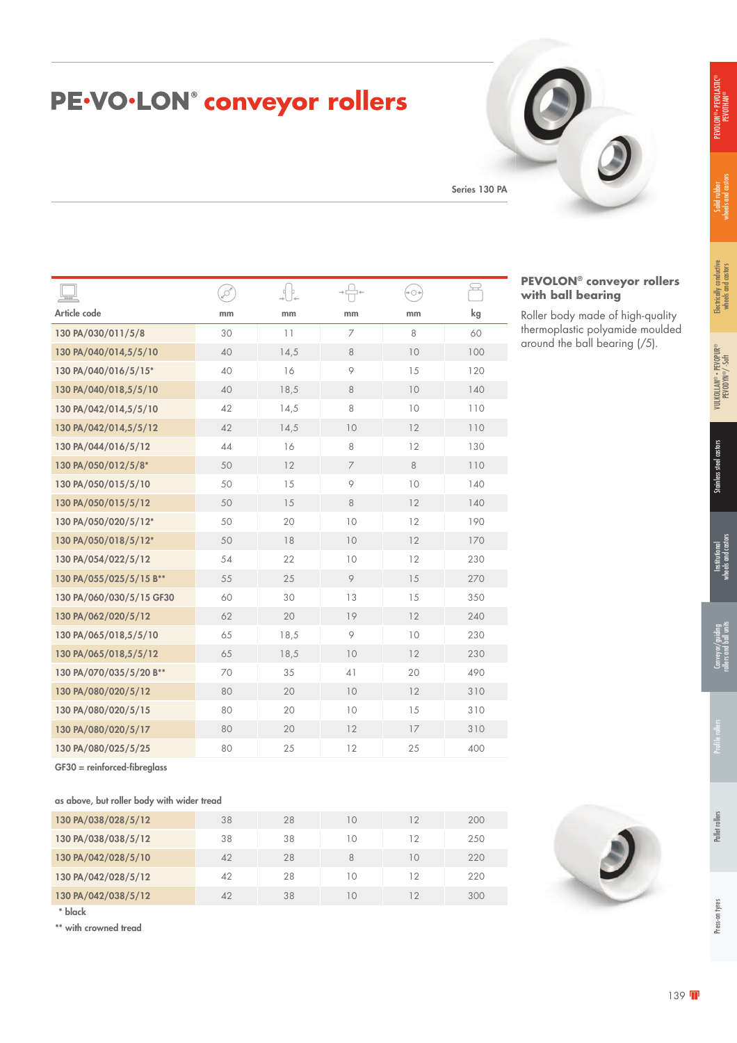**PEVOLON® conveyor rollers** 

Roller body made of high-quality thermoplastic polyamide moulded around the ball bearing (/5).

**with ball bearing**

# PE.VO.LON<sup>®</sup> conveyor rollers

Series 130 PA

|                          | ø  |      |                | $+O+$ | يے  |
|--------------------------|----|------|----------------|-------|-----|
| Article code             | mm | mm   | mm             | mm    | kg  |
| 130 PA/030/011/5/8       | 30 | 11   | 7              | 8     | 60  |
| 130 PA/040/014,5/5/10    | 40 | 14,5 | $\,8\,$        | 10    | 100 |
| 130 PA/040/016/5/15*     | 40 | 16   | 9              | 15    | 120 |
| 130 PA/040/018,5/5/10    | 40 | 18,5 | 8              | 10    | 140 |
| 130 PA/042/014,5/5/10    | 42 | 14,5 | 8              | 10    | 110 |
| 130 PA/042/014,5/5/12    | 42 | 14,5 | 10             | 12    | 110 |
| 130 PA/044/016/5/12      | 44 | 16   | 8              | 12    | 130 |
| 130 PA/050/012/5/8*      | 50 | 12   | $\overline{7}$ | 8     | 110 |
| 130 PA/050/015/5/10      | 50 | 15   | 9              | 10    | 140 |
| 130 PA/050/015/5/12      | 50 | 15   | 8              | 12    | 140 |
| 130 PA/050/020/5/12*     | 50 | 20   | 10             | 12    | 190 |
| 130 PA/050/018/5/12*     | 50 | 18   | 10             | 12    | 170 |
| 130 PA/054/022/5/12      | 54 | 22   | 10             | 12    | 230 |
| 130 PA/055/025/5/15 B**  | 55 | 25   | 9              | 15    | 270 |
| 130 PA/060/030/5/15 GF30 | 60 | 30   | 13             | 15    | 350 |
| 130 PA/062/020/5/12      | 62 | 20   | 19             | 12    | 240 |
| 130 PA/065/018,5/5/10    | 65 | 18,5 | 9              | 10    | 230 |
| 130 PA/065/018,5/5/12    | 65 | 18,5 | 10             | 12    | 230 |
| 130 PA/070/035/5/20 B**  | 70 | 35   | 41             | 20    | 490 |
| 130 PA/080/020/5/12      | 80 | 20   | 10             | 12    | 310 |
| 130 PA/080/020/5/15      | 80 | 20   | 10             | 15    | 310 |
| 130 PA/080/020/5/17      | 80 | 20   | 12             | 17    | 310 |
| 130 PA/080/025/5/25      | 80 | 25   | 12             | 25    | 400 |

GF30 = reinforced-fibreglass

|  | as above, but roller body with wider tread |  |  |  |  |  |  |
|--|--------------------------------------------|--|--|--|--|--|--|
|--|--------------------------------------------|--|--|--|--|--|--|

| 130 PA/038/028/5/12 | 38 | 28 | 10 | 12         | 200 |
|---------------------|----|----|----|------------|-----|
| 130 PA/038/038/5/12 | 38 | 38 | 10 | 12         | 250 |
| 130 PA/042/028/5/10 | 42 | 28 | 8  | 10         | 220 |
| 130 PA/042/028/5/12 | 42 | 28 | 10 | $12 \,$    | 220 |
| 130 PA/042/038/5/12 | 42 | 38 | 10 | $\sqrt{2}$ | 300 |

\* black

\*\* with crowned tread

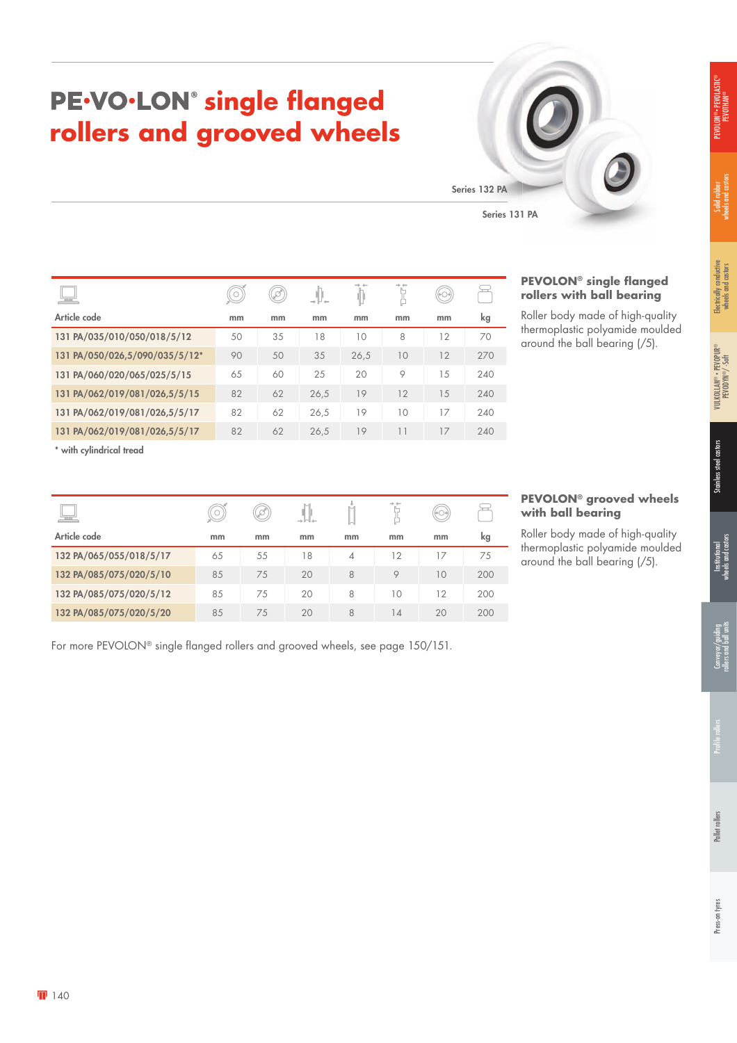# Press-on tyres Pallet rollers Profile rollers Conveyor/guiding rollers and ball units Conveyor/guiding<br>ollers and ball unit

# PE<sup>.</sup>VO.LON<sup>®</sup> single flanged **rollers and grooved wheels**



| $\overline{\phantom{a}}$       |    | D  |      |      |    |    |     | .<br>roll    |
|--------------------------------|----|----|------|------|----|----|-----|--------------|
| Article code                   | mm | mm | mm   | mm   | mm | mm | kg  | Roll         |
| 131 PA/035/010/050/018/5/12    | 50 | 35 | 18   | 10   | 8  | 12 | 70  | ther<br>arou |
| 131 PA/050/026,5/090/035/5/12* | 90 | 50 | 35   | 26,5 | 10 | 12 | 270 |              |
| 131 PA/060/020/065/025/5/15    | 65 | 60 | 25   | 20   | 9  | 15 | 240 |              |
| 131 PA/062/019/081/026,5/5/15  | 82 | 62 | 26,5 | 19   | 12 | 15 | 240 |              |
| 131 PA/062/019/081/026,5/5/17  | 82 | 62 | 26,5 | 19   | 10 | 17 | 240 |              |

 $\prod_{i=1}^n$ 

 $\mathbb{I}$ 

Ĭ

P

 $\circledcirc$ 

131 PA/062/019/081/026,5/5/17 82 62 26,5 19 11 17 240

Article code mm mm mm mm mm mm kg 132 PA/065/055/018/5/17 65 55 18 4 12 17 75 132 PA/085/075/020/5/10 85 75 20 8 9 10 200 132 PA/085/075/020/5/12 85 75 20 8 10 12 200 132 PA/085/075/020/5/20 85 75 20 8 14 20 200

 $\circledcirc$ 

 $\circledcirc$ 

#### **PEVOLON® single flanged rollers with ball bearing**

er body made of high-quality moplastic polyamide moulded und the ball bearing  $\frac{1}{5}$ .

#### **PEVOLON® grooved wheels with ball bearing**

Roller body made of high-quality thermoplastic polyamide moulded around the ball bearing (/5).

| For more PEVOLON® single flanged rollers and grooved wheels, see page 150/151. |  |  |
|--------------------------------------------------------------------------------|--|--|

\* with cylindrical tread

 $\Box$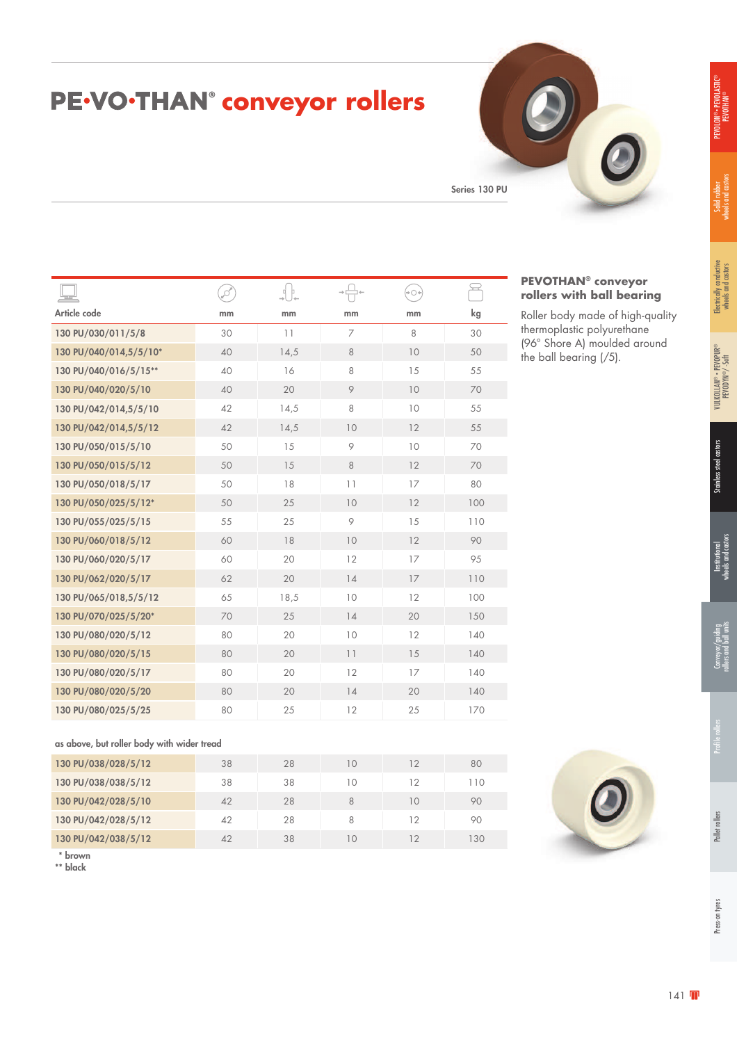# Conveyor/guiding<br>rollers and ball units Press-on tyres Pallet rollers Profile rollers Conveyor/guiding rollers and ball units

# PE<sup>.</sup>VO<sup>.</sup>THAN<sup>®</sup> conveyor rollers

Series 130 PU

**PEVOTHAN® conveyor rollers with ball bearing** Roller body made of high-quality thermoplastic polyurethane (96° Shore A) moulded around

the ball bearing (/5).

| $\overline{\phantom{a}}$ | ø  | 마.   |                | +0+ | ₩   |
|--------------------------|----|------|----------------|-----|-----|
| Article code             | mm | mm   | mm             | mm  | kg  |
| 130 PU/030/011/5/8       | 30 | 11   | $\overline{7}$ | 8   | 30  |
| 130 PU/040/014,5/5/10*   | 40 | 14,5 | 8              | 10  | 50  |
| 130 PU/040/016/5/15**    | 40 | 16   | 8              | 15  | 55  |
| 130 PU/040/020/5/10      | 40 | 20   | 9              | 10  | 70  |
| 130 PU/042/014,5/5/10    | 42 | 14,5 | 8              | 10  | 55  |
| 130 PU/042/014,5/5/12    | 42 | 14,5 | 10             | 12  | 55  |
| 130 PU/050/015/5/10      | 50 | 15   | 9              | 10  | 70  |
| 130 PU/050/015/5/12      | 50 | 15   | 8              | 12  | 70  |
| 130 PU/050/018/5/17      | 50 | 18   | 11             | 17  | 80  |
| 130 PU/050/025/5/12*     | 50 | 25   | 10             | 12  | 100 |
| 130 PU/055/025/5/15      | 55 | 25   | 9              | 15  | 110 |
| 130 PU/060/018/5/12      | 60 | 18   | 10             | 12  | 90  |
| 130 PU/060/020/5/17      | 60 | 20   | 12             | 17  | 95  |
| 130 PU/062/020/5/17      | 62 | 20   | 14             | 17  | 110 |
| 130 PU/065/018,5/5/12    | 65 | 18,5 | 10             | 12  | 100 |
| 130 PU/070/025/5/20*     | 70 | 25   | 14             | 20  | 150 |
| 130 PU/080/020/5/12      | 80 | 20   | 10             | 12  | 140 |
| 130 PU/080/020/5/15      | 80 | 20   | 11             | 15  | 140 |
| 130 PU/080/020/5/17      | 80 | 20   | 12             | 17  | 140 |
| 130 PU/080/020/5/20      | 80 | 20   | 14             | 20  | 140 |
| 130 PU/080/025/5/25      | 80 | 25   | 12             | 25  | 170 |
|                          |    |      |                |     |     |

as above, but roller body with wider tread

| 130 PU/038/028/5/12 | 38 | 28 | 10 | 12 | 80  |
|---------------------|----|----|----|----|-----|
| 130 PU/038/038/5/12 | 38 | 38 | 10 | 12 | 110 |
| 130 PU/042/028/5/10 | 42 | 28 | 8  | 10 | 90  |
| 130 PU/042/028/5/12 | 42 | 28 | 8  | 12 | 90  |
| 130 PU/042/038/5/12 | 42 | 38 | IΟ | 12 | 130 |

\* brown

\*\* black

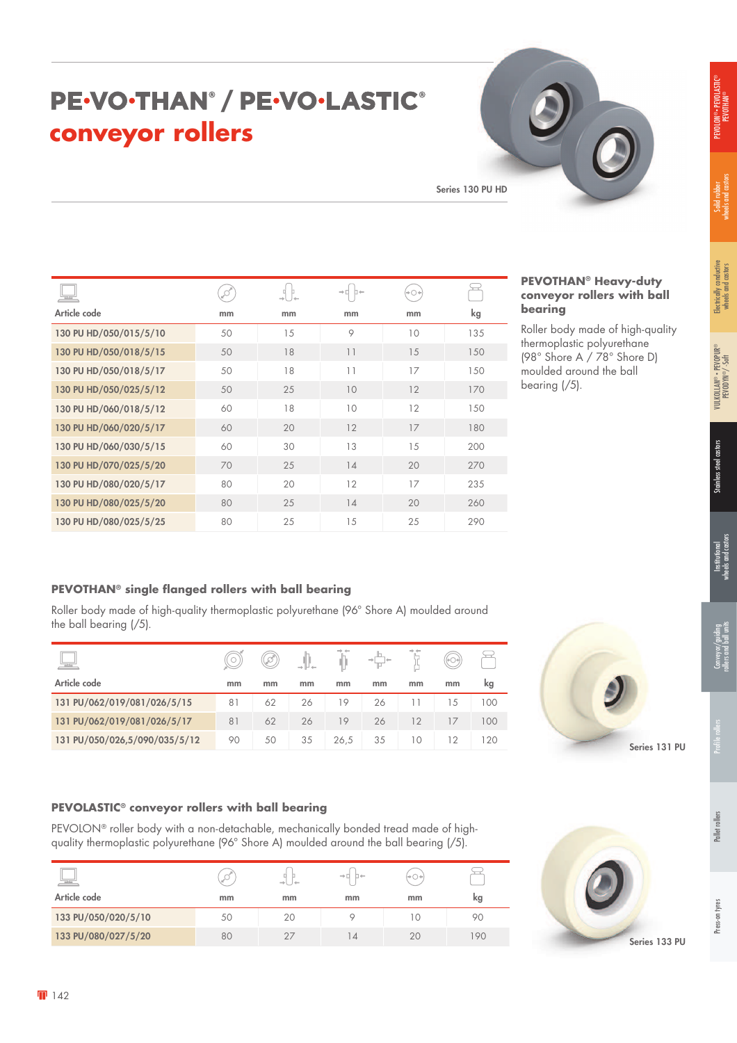# Press-on tyres Pallet rollers Profile rollers Conveyor/guiding

Series 131 PU

### PE-VO-THAN<sup>®</sup> / PE-VO-LASTIC® **conveyor rollers**

Series 130 PU HD

| $\mathbb{R}^{d \times d}$ |    |    | $\rightarrow \Box$ | +0+ |     |
|---------------------------|----|----|--------------------|-----|-----|
| Article code              | mm | mm | mm                 | mm  | kg  |
| 130 PU HD/050/015/5/10    | 50 | 15 | 9                  | 10  | 135 |
| 130 PU HD/050/018/5/15    | 50 | 18 | 11                 | 15  | 150 |
| 130 PU HD/050/018/5/17    | 50 | 18 | 11                 | 17  | 150 |
| 130 PU HD/050/025/5/12    | 50 | 25 | 10                 | 12  | 170 |
| 130 PU HD/060/018/5/12    | 60 | 18 | 10                 | 12  | 150 |
| 130 PU HD/060/020/5/17    | 60 | 20 | 12                 | 17  | 180 |
| 130 PU HD/060/030/5/15    | 60 | 30 | 13                 | 15  | 200 |
| 130 PU HD/070/025/5/20    | 70 | 25 | 14                 | 20  | 270 |
| 130 PU HD/080/020/5/17    | 80 | 20 | 12                 | 17  | 235 |
| 130 PU HD/080/025/5/20    | 80 | 25 | 14                 | 20  | 260 |
| 130 PU HD/080/025/5/25    | 80 | 25 | 15                 | 25  | 290 |

#### **PEVOTHAN® Heavy-duty conveyor rollers with ball bearing**

Roller body made of high-quality thermoplastic polyurethane (98° Shore A / 78° Shore D) moulded around the ball bearing (/5).

#### **PEVOTHAN® single flanged rollers with ball bearing**

Roller body made of high-quality thermoplastic polyurethane (96° Shore A) moulded around the ball bearing (/5).

| نهيجا                         |    | D. |    |      |    |    |    |     |
|-------------------------------|----|----|----|------|----|----|----|-----|
| Article code                  | mm | mm | mm | mm   | mm | mm | mm | kg  |
| 131 PU/062/019/081/026/5/15   | 81 | 62 | 26 | 19   | 26 |    | 15 | 100 |
| 131 PU/062/019/081/026/5/17   | 81 | 62 | 26 | 19   | 26 | 12 | 17 | 100 |
| 131 PU/050/026,5/090/035/5/12 | 90 | 50 | 35 | 26.5 | 35 | 10 | 12 | 120 |

#### **PEVOLASTIC® conveyor rollers with ball bearing**

PEVOLON® roller body with a non-detachable, mechanically bonded tread made of highquality thermoplastic polyurethane (96° Shore A) moulded around the ball bearing (/5).

| تعظ                 |    |    | $\rightarrow \Box$ |                    |    |
|---------------------|----|----|--------------------|--------------------|----|
| Article code        | mm | mm | mm                 | mm                 | kg |
| 133 PU/050/020/5/10 | 50 | 20 |                    | $\left($ $\right)$ | 90 |
| 133 PU/080/027/5/20 | 80 |    | $\Delta$           | 20                 | 90 |

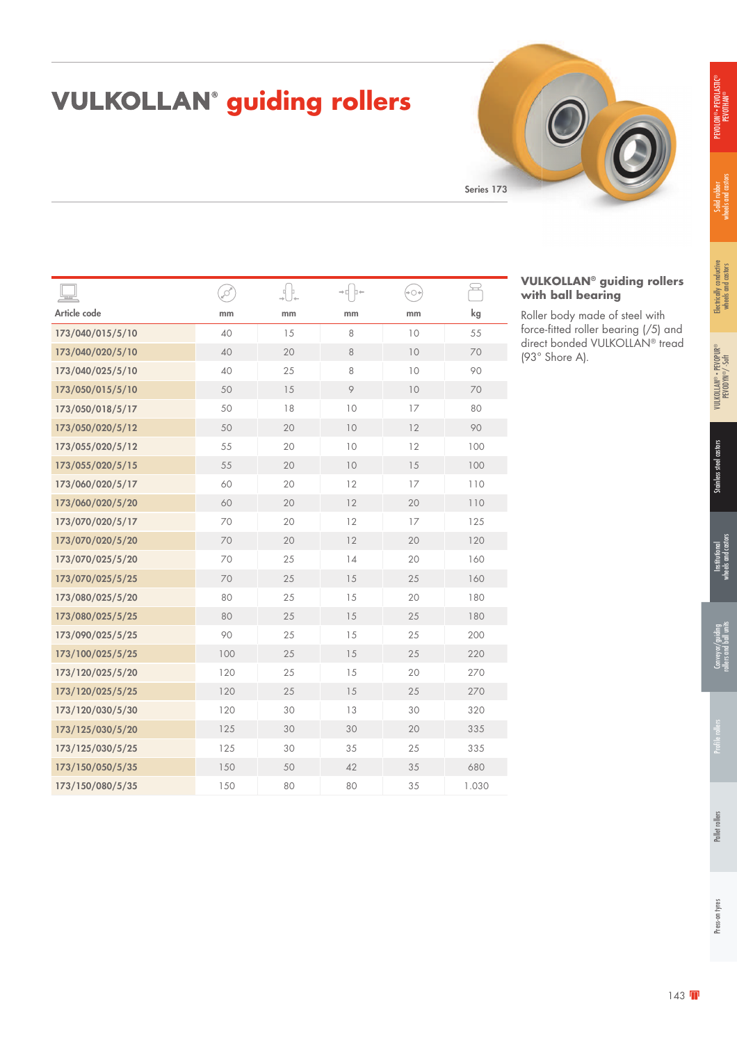# PEVOLON® • PEVOLASTIC® LON®• PEVOLASTIC<br>PEVOTHAN®

# **VULKOLLAN<sup>®</sup> guiding rollers**



|                  | ø   |    | ⇒d b← | '∽⊙ | $\overline{\phantom{a}}$ |
|------------------|-----|----|-------|-----|--------------------------|
| Article code     | mm  | mm | mm    | mm  | kg                       |
| 173/040/015/5/10 | 40  | 15 | 8     | 10  | 55                       |
| 173/040/020/5/10 | 40  | 20 | 8     | 10  | 70                       |
| 173/040/025/5/10 | 40  | 25 | 8     | 10  | 90                       |
| 173/050/015/5/10 | 50  | 15 | 9     | 10  | 70                       |
| 173/050/018/5/17 | 50  | 18 | 10    | 17  | 80                       |
| 173/050/020/5/12 | 50  | 20 | 10    | 12  | 90                       |
| 173/055/020/5/12 | 55  | 20 | 10    | 12  | 100                      |
| 173/055/020/5/15 | 55  | 20 | 10    | 15  | 100                      |
| 173/060/020/5/17 | 60  | 20 | 12    | 17  | 110                      |
| 173/060/020/5/20 | 60  | 20 | 12    | 20  | 110                      |
| 173/070/020/5/17 | 70  | 20 | 12    | 17  | 125                      |
| 173/070/020/5/20 | 70  | 20 | 12    | 20  | 120                      |
| 173/070/025/5/20 | 70  | 25 | 14    | 20  | 160                      |
| 173/070/025/5/25 | 70  | 25 | 15    | 25  | 160                      |
| 173/080/025/5/20 | 80  | 25 | 15    | 20  | 180                      |
| 173/080/025/5/25 | 80  | 25 | 15    | 25  | 180                      |
| 173/090/025/5/25 | 90  | 25 | 15    | 25  | 200                      |
| 173/100/025/5/25 | 100 | 25 | 15    | 25  | 220                      |
| 173/120/025/5/20 | 120 | 25 | 15    | 20  | 270                      |
| 173/120/025/5/25 | 120 | 25 | 15    | 25  | 270                      |
| 173/120/030/5/30 | 120 | 30 | 13    | 30  | 320                      |
| 173/125/030/5/20 | 125 | 30 | 30    | 20  | 335                      |
| 173/125/030/5/25 | 125 | 30 | 35    | 25  | 335                      |
| 173/150/050/5/35 | 150 | 50 | 42    | 35  | 680                      |
| 173/150/080/5/35 | 150 | 80 | 80    | 35  | 1.030                    |
|                  |     |    |       |     |                          |

#### **VULKOLLAN® guiding rollers with ball bearing**

Roller body made of steel with force-fitted roller bearing (/5) and direct bonded VULKOLLAN® tread (93° Shore A).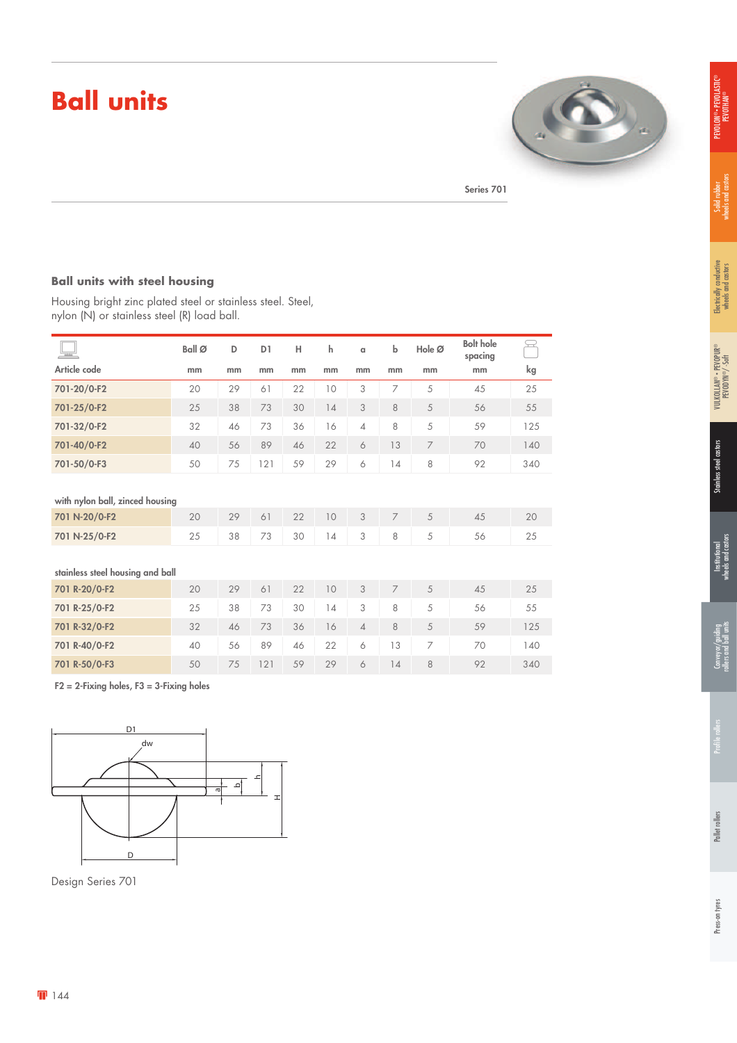# **Ball units**



Series 701

#### **Ball units with steel housing**

Housing bright zinc plated steel or stainless steel. Steel, nylon (N) or stainless steel (R) load ball.

| $=$                              | Ball Ø | D  | D <sub>1</sub> | н  | h  | $\alpha$       | $\mathsf b$    | Hole Ø         | <b>Bolt hole</b><br>spacing |     |
|----------------------------------|--------|----|----------------|----|----|----------------|----------------|----------------|-----------------------------|-----|
| Article code                     | mm     | mm | mm             | mm | mm | mm             | mm             | mm             | mm                          | kg  |
| 701-20/0-F2                      | 20     | 29 | 61             | 22 | 10 | 3              | 7              | 5              | 45                          | 25  |
| 701-25/0-F2                      | 25     | 38 | 73             | 30 | 14 | 3              | 8              | 5              | 56                          | 55  |
| 701-32/0-F2                      | 32     | 46 | 73             | 36 | 16 | $\overline{4}$ | 8              | 5              | 59                          | 125 |
| 701-40/0-F2                      | 40     | 56 | 89             | 46 | 22 | 6              | 13             | $\overline{7}$ | 70                          | 140 |
| 701-50/0-F3                      | 50     | 75 | 121            | 59 | 29 | 6              | 14             | 8              | 92                          | 340 |
|                                  |        |    |                |    |    |                |                |                |                             |     |
| with nylon ball, zinced housing  |        |    |                |    |    |                |                |                |                             |     |
| 701 N-20/0-F2                    | 20     | 29 | 61             | 22 | 10 | 3              | $\overline{7}$ | 5              | 45                          | 20  |
| 701 N-25/0-F2                    | 25     | 38 | 73             | 30 | 14 | 3              | 8              | 5              | 56                          | 25  |
|                                  |        |    |                |    |    |                |                |                |                             |     |
| stainless steel housing and ball |        |    |                |    |    |                |                |                |                             |     |
| 701 R-20/0-F2                    | 20     | 29 | 61             | 22 | 10 | 3              | $\overline{7}$ | 5              | 45                          | 25  |
| 701 R-25/0-F2                    | 25     | 38 | 73             | 30 | 14 | 3              | 8              | 5              | 56                          | 55  |
| 701 R-32/0-F2                    | 32     | 46 | 73             | 36 | 16 | $\overline{4}$ | 8              | 5              | 59                          | 125 |
| 701 R-40/0-F2                    | 40     | 56 | 89             | 46 | 22 | 6              | 13             | $\overline{7}$ | 70                          | 140 |
| 701 R-50/0-F3                    | 50     | 75 | 121            | 59 | 29 | 6              | 14             | 8              | 92                          | 340 |

 $F2 = 2$ -Fixing holes,  $F3 = 3$ -Fixing holes



Design Series 701

PEVOLON® • PEVOLASTIC® PEVOLON® • PEVOLASTI<br>PEVOTHAN®

Pallet rollers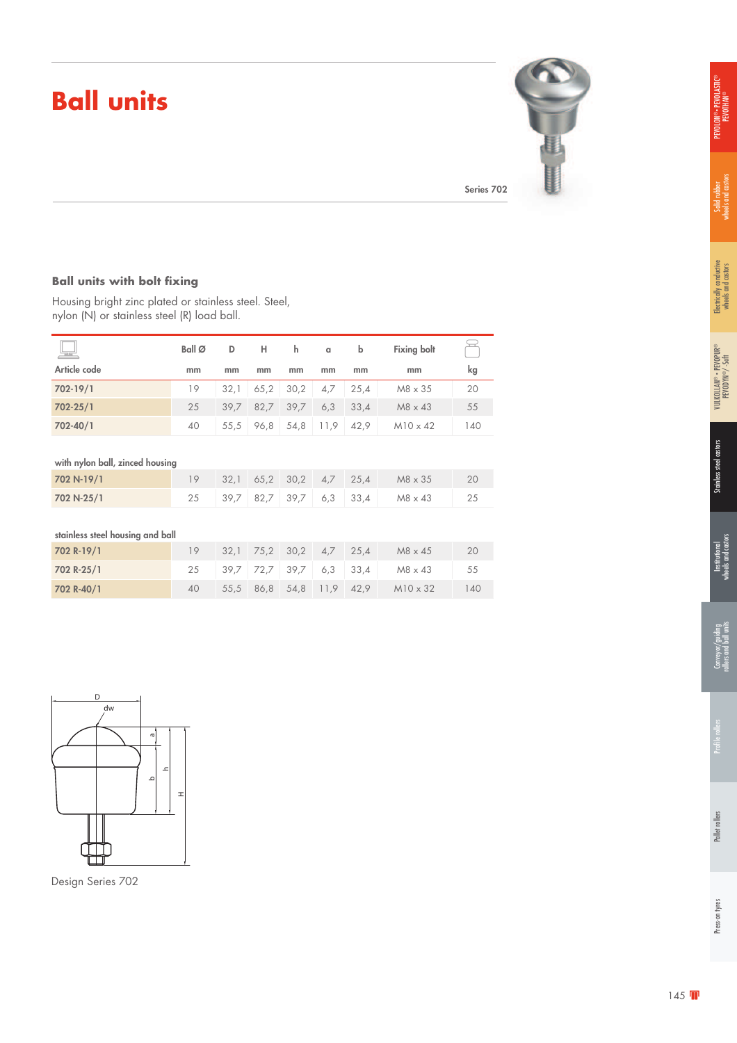# **Ball units**



#### **Ball units with bolt fixing**

Housing bright zinc plated or stainless steel. Steel, nylon (N) or stainless steel (R) load ball.

| $\overline{\phantom{a}}$         | Ball Ø | D    | н    | h.   | $\alpha$ | $\mathsf b$ | <b>Fixing bolt</b> |     |
|----------------------------------|--------|------|------|------|----------|-------------|--------------------|-----|
| Article code                     | mm     | mm   | mm   | mm   | mm       | mm          | mm                 | kg  |
| 702-19/1                         | 19     | 32,1 | 65,2 | 30,2 | 4,7      | 25,4        | $M8 \times 35$     | 20  |
| 702-25/1                         | 25     | 39,7 | 82,7 | 39,7 | 6,3      | 33,4        | $M8 \times 43$     | 55  |
| 702-40/1                         | 40     | 55,5 | 96,8 | 54,8 | 11,9     | 42,9        | $M10 \times 42$    | 140 |
|                                  |        |      |      |      |          |             |                    |     |
| with nylon ball, zinced housing  |        |      |      |      |          |             |                    |     |
| 702 N-19/1                       | 19     | 32,1 | 65,2 | 30,2 | 4,7      | 25,4        | M8 x 35            | 20  |
| 702 N-25/1                       | 25     | 39,7 | 82,7 | 39,7 | 6,3      | 33,4        | $M8 \times 43$     | 25  |
|                                  |        |      |      |      |          |             |                    |     |
| stainless steel housing and ball |        |      |      |      |          |             |                    |     |
| 702 R-19/1                       | 19     | 32,1 | 75,2 | 30,2 | 4,7      | 25,4        | $M8 \times 45$     | 20  |
| 702 R-25/1                       | 25     | 39.7 | 72,7 | 39,7 | 6,3      | 33,4        | $M8 \times 43$     | 55  |
| 702 R-40/1                       | 40     | 55,5 | 86,8 | 54,8 | 11,9     | 42,9        | $M10 \times 32$    | 140 |



Design Series 702

®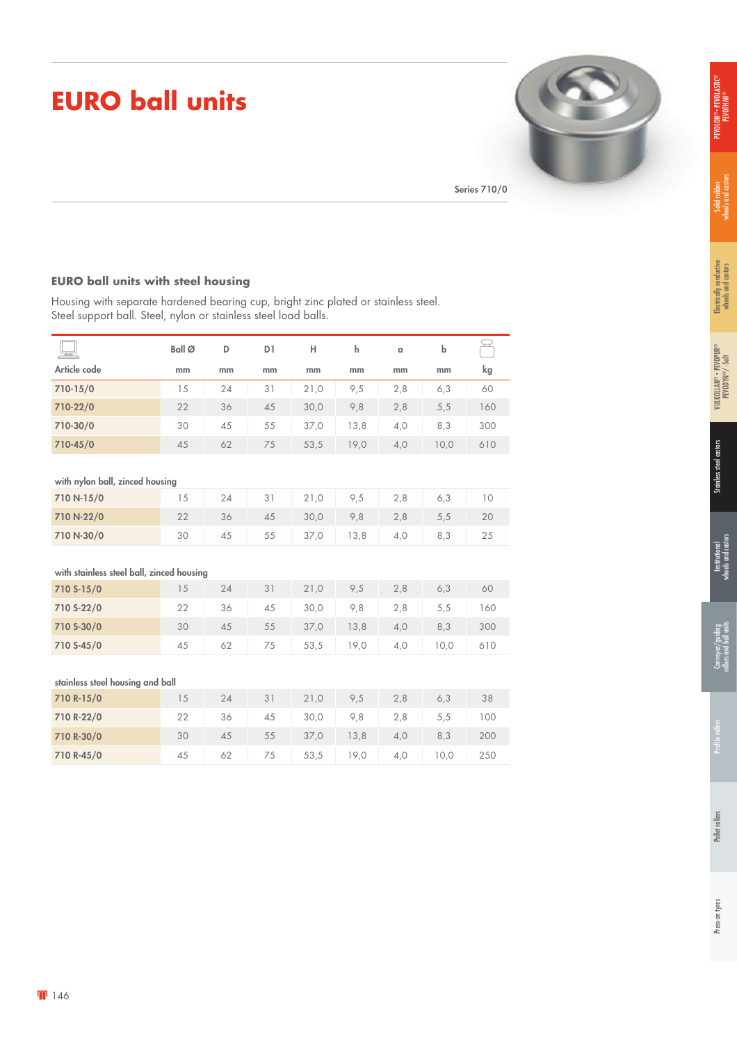# **EURO ball units**



#### **EURO ball units with steel housing**

Housing with separate hardened bearing cup, bright zinc plated or stainless steel. Steel support ball. Steel, nylon or stainless steel load balls.

|                                           | Ball Ø | D  | D <sub>1</sub> | Н    | h    | a   | b    | $\rightarrow$ |  |
|-------------------------------------------|--------|----|----------------|------|------|-----|------|---------------|--|
| Article code                              | mm     | mm | mm             | mm   | mm   | mm  | mm   | kg            |  |
| 710-15/0                                  | 15     | 24 | 31             | 21,0 | 9,5  | 2,8 | 6,3  | 60            |  |
| 710-22/0                                  | 22     | 36 | 45             | 30,0 | 9,8  | 2,8 | 5,5  | 160           |  |
| 710-30/0                                  | 30     | 45 | 55             | 37,0 | 13,8 | 4,0 | 8,3  | 300           |  |
| 710-45/0                                  | 45     | 62 | 75             | 53,5 | 19,0 | 4,0 | 10,0 | 610           |  |
|                                           |        |    |                |      |      |     |      |               |  |
| with nylon ball, zinced housing           |        |    |                |      |      |     |      |               |  |
| 710 N-15/0                                | 15     | 24 | 31             | 21,0 | 9,5  | 2,8 | 6,3  | 10            |  |
| 710 N-22/0                                | 22     | 36 | 45             | 30,0 | 9,8  | 2,8 | 5,5  | 20            |  |
| 710 N-30/0                                | 30     | 45 | 55             | 37,0 | 13,8 | 4,0 | 8,3  | 25            |  |
|                                           |        |    |                |      |      |     |      |               |  |
| with stainless steel ball, zinced housing |        |    |                |      |      |     |      |               |  |
| 710 S-15/0                                | 15     | 24 | 31             | 21,0 | 9,5  | 2,8 | 6,3  | 60            |  |
| 710 S-22/0                                | 22     | 36 | 45             | 30,0 | 9,8  | 2,8 | 5,5  | 160           |  |
| 710 S-30/0                                | 30     | 45 | 55             | 37,0 | 13,8 | 4,0 | 8,3  | 300           |  |
| 710 S-45/0                                | 45     | 62 | 75             | 53,5 | 19,0 | 4,0 | 10,0 | 610           |  |
|                                           |        |    |                |      |      |     |      |               |  |
| stainless steel housing and ball          |        |    |                |      |      |     |      |               |  |
| 710 R-15/0                                | 15     | 24 | 31             | 21,0 | 9,5  | 2,8 | 6,3  | 38            |  |
| 710 R-22/0                                | 22     | 36 | 45             | 30,0 | 9,8  | 2,8 | 5,5  | 100           |  |
| 710 R-30/0                                | 30     | 45 | 55             | 37,0 | 13,8 | 4,0 | 8,3  | 200           |  |
| 710 R-45/0                                | 45     | 62 | 75             | 53,5 | 19,0 | 4,0 | 10,0 | 250           |  |

Electrically conductive wheels and castors

Electrically conductive<br>wheels and castors

Solid rubber<br>wheels and castors wheels and castors

PEVOLON® • PEVOLASTIC® .on®• pevolastic<br>Pevothan®